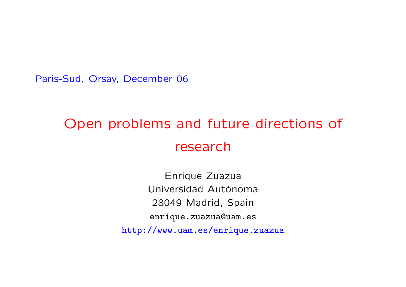Paris-Sud, Orsay, December 06

# Open problems and future directions of research

Enrique Zuazua Universidad Autónoma 28049 Madrid, Spain enrique.zuazua@uam.es http://www.uam.es/enrique.zuazua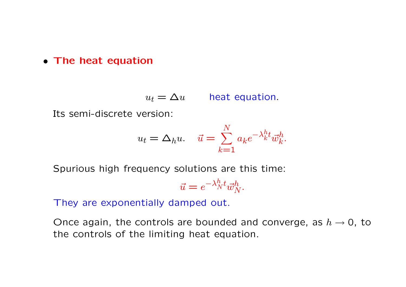## • The heat equation

 $u_t = \Delta u$  heat equation.

Its semi-discrete version:

$$
u_t = \Delta_h u. \quad \vec{u} = \sum_{k=1}^N a_k e^{-\lambda_k^h t} \vec{w}_k^h.
$$

Spurious high frequency solutions are this time:

$$
\vec{u} = e^{-\lambda_N^h t} \vec{w}_N^h.
$$

They are exponentially damped out.

Once again, the controls are bounded and converge, as  $h \to 0$ , to the controls of the limiting heat equation.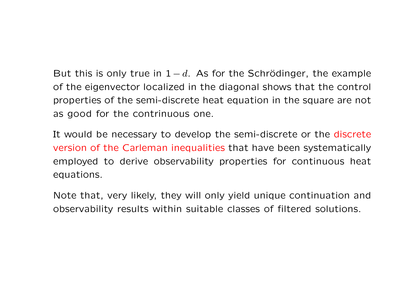But this is only true in  $1-d$ . As for the Schrödinger, the example of the eigenvector localized in the diagonal shows that the control properties of the semi-discrete heat equation in the square are not as good for the contrinuous one.

It would be necessary to develop the semi-discrete or the discrete version of the Carleman inequalities that have been systematically employed to derive observability properties for continuous heat equations.

Note that, very likely, they will only yield unique continuation and observability results within suitable classes of filtered solutions.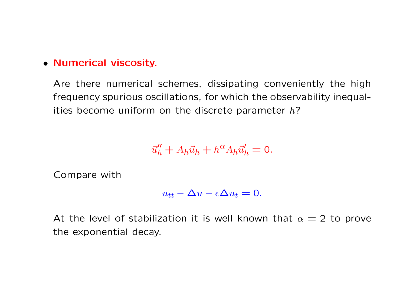## • Numerical viscosity.

Are there numerical schemes, dissipating conveniently the high frequency spurious oscillations, for which the observability inequalities become uniform on the discrete parameter  $h$ ?

$$
\vec{u}_h'' + A_h \vec{u}_h + h^\alpha A_h \vec{u}_h' = 0.
$$

Compare with

$$
u_{tt} - \Delta u - \epsilon \Delta u_t = 0.
$$

At the level of stabilization it is well known that  $\alpha = 2$  to prove the exponential decay.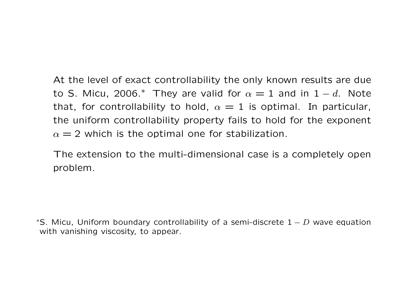At the level of exact controllability the only known results are due to S. Micu, 2006.\* They are valid for  $\alpha = 1$  and in  $1 - d$ . Note that, for controllability to hold,  $\alpha = 1$  is optimal. In particular, the uniform controllability property fails to hold for the exponent  $\alpha = 2$  which is the optimal one for stabilization.

The extension to the multi-dimensional case is a completely open problem.

\*S. Micu, Uniform boundary controllability of a semi-discrete  $1 - D$  wave equation with vanishing viscosity, to appear.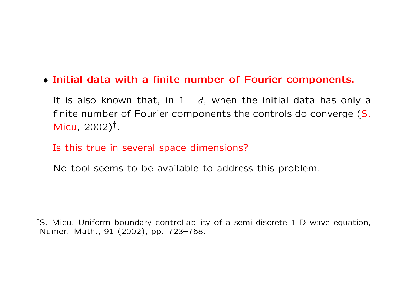• Initial data with a finite number of Fourier components.

It is also known that, in  $1-d$ , when the initial data has only a finite number of Fourier components the controls do converge (S. Micu, 2002)† .

Is this true in several space dimensions?

No tool seems to be available to address this problem.

†S. Micu, Uniform boundary controllability of a semi-discrete 1-D wave equation, Numer. Math., 91 (2002), pp. 723–768.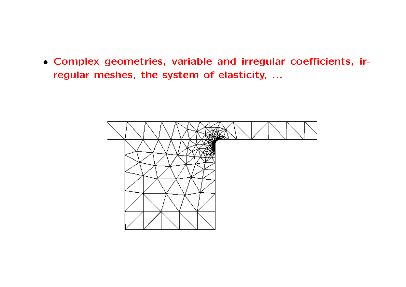• Complex geometries, variable and irregular coefficients, irregular meshes, the system of elasticity, ...

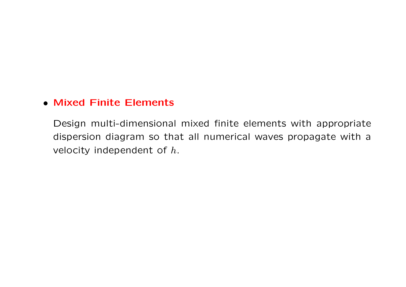#### • Mixed Finite Elements

Design multi-dimensional mixed finite elements with appropriate dispersion diagram so that all numerical waves propagate with a velocity independent of  $h$ .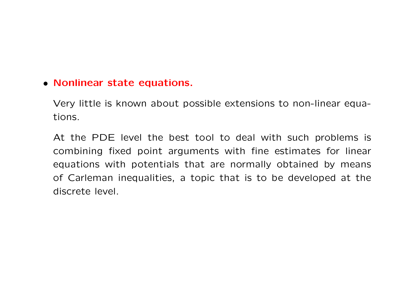#### • Nonlinear state equations.

Very little is known about possible extensions to non-linear equations.

At the PDE level the best tool to deal with such problems is combining fixed point arguments with fine estimates for linear equations with potentials that are normally obtained by means of Carleman inequalities, a topic that is to be developed at the discrete level.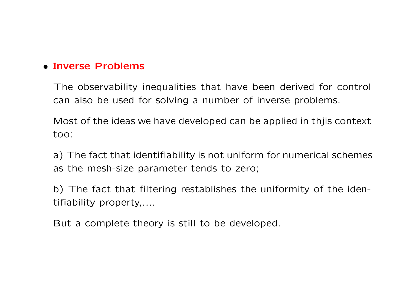# • Inverse Problems

The observability inequalities that have been derived for control can also be used for solving a number of inverse problems.

Most of the ideas we have developed can be applied in thjis context too:

a) The fact that identifiability is not uniform for numerical schemes as the mesh-size parameter tends to zero;

b) The fact that filtering restablishes the uniformity of the identifiability property,....

But a complete theory is still to be developed.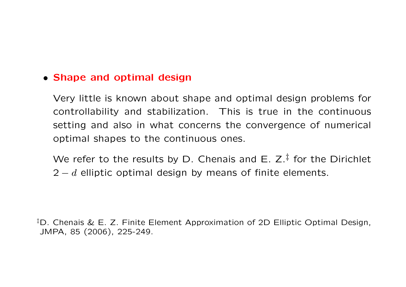#### • Shape and optimal design

Very little is known about shape and optimal design problems for controllability and stabilization. This is true in the continuous setting and also in what concerns the convergence of numerical optimal shapes to the continuous ones.

We refer to the results by D. Chenais and E.  $Z^{\ddagger}$  for the Dirichlet  $2 - d$  elliptic optimal design by means of finite elements.

<sup>‡</sup>D. Chenais & E. Z. Finite Element Approximation of 2D Elliptic Optimal Design, JMPA, 85 (2006), 225-249.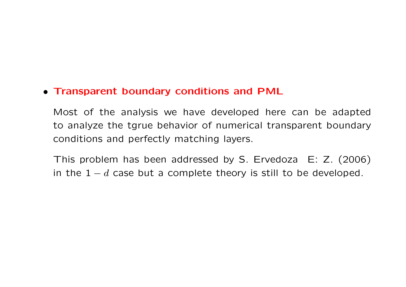## • Transparent boundary conditions and PML

Most of the analysis we have developed here can be adapted to analyze the tgrue behavior of numerical transparent boundary conditions and perfectly matching layers.

This problem has been addressed by S. Ervedoza E: Z. (2006) in the  $1-d$  case but a complete theory is still to be developed.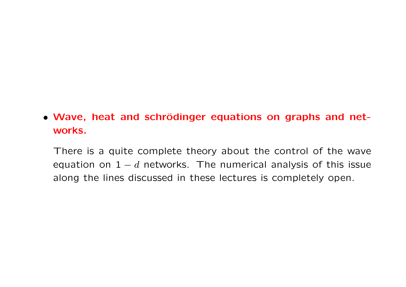# • Wave, heat and schrödinger equations on graphs and networks.

There is a quite complete theory about the control of the wave equation on  $1 - d$  networks. The numerical analysis of this issue along the lines discussed in these lectures is completely open.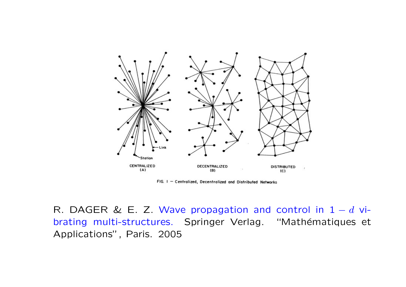

FIG. I - Centralized, Decentralized and Distributed Networks

R. DAGER & E. Z. Wave propagation and control in  $1-d$  vibrating multi-structures. Springer Verlag. "Mathématiques et Applications", Paris. 2005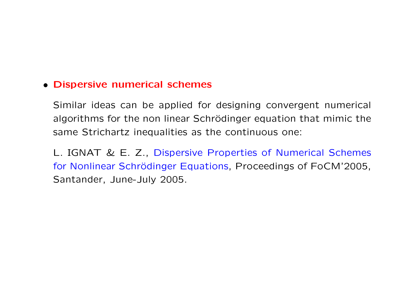#### • Dispersive numerical schemes

Similar ideas can be applied for designing convergent numerical algorithms for the non linear Schrödinger equation that mimic the same Strichartz inequalities as the continuous one:

L. IGNAT & E. Z., Dispersive Properties of Numerical Schemes for Nonlinear Schrödinger Equations, Proceedings of FoCM'2005, Santander, June-July 2005.